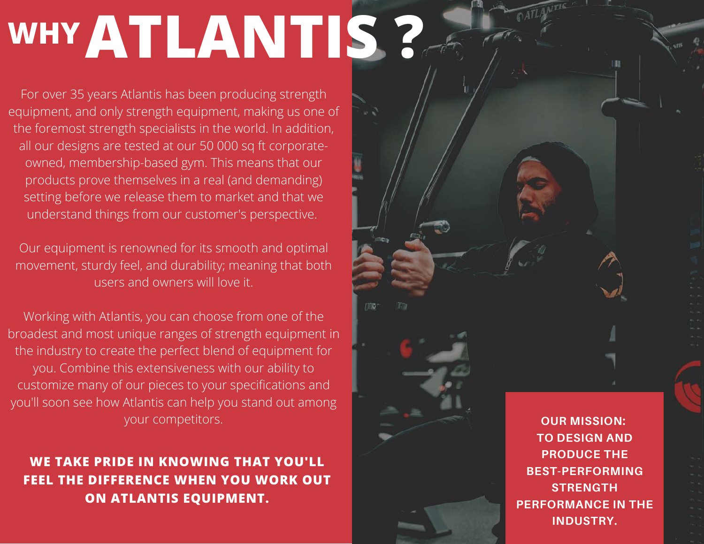## WHYATLANTIS ?

For over 35 years Atlantis has been producing strength equipment, and only strength equipment, making us one of the foremost strength specialists in the world. In addition, all our designs are tested at our 50 000 sq ft corporateowned, membership-based gym. This means that our products prove themselves in a real (and demanding) setting before we release them to market and that we understand things from our customer's perspective.

Our equipment is renowned for its smooth and optimal movement, sturdy feel, and durability; meaning that both users and owners will love it.

TIS

Working with Atlantis, you can choose from one of the broadest and most unique ranges of strength equipment in the industry to create the perfect blend of equipment for you. Combine this extensiveness with our ability to customize many of our pieces to your specifications and you'll soon see how Atlantis can help you stand out among your competitors.

**WE TAKE PRIDE IN KNOWING THAT YOU'LL FEEL THE DIFFERENCE WHEN YOU WORK OUT ON ATLANTIS EQUIPMENT.**

**OUR MISSION: TO DESIGN AND PRODUCE THE BEST-PERFORMING STRENGTH PERFORMANCE IN THE INDUSTRY.**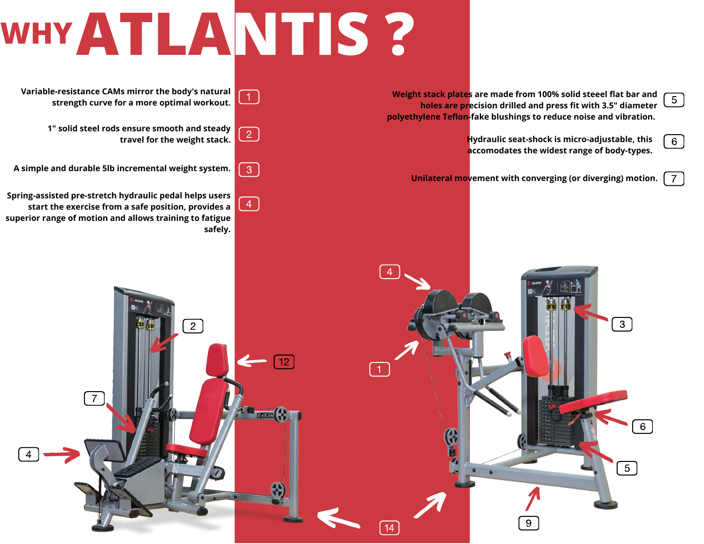## **WHYATLANTIS ?**

**Weight stack plates are made from 100% solid steeel flat bar and**<br>balse are weaking drilled and wrote fit with 2 Fil diameter [5] **holes are precision drilled and press fit with 3.5" diameter polyethylene Teflon-fake blushings to reduce noise and vibration.**

> **Hydraulic seat-shock is micro-adjustable, this accomodates the widest range of body-types.**

 $\overline{6}$ 

 $\overline{7}$ 

**Unilateral movement with converging (or diverging) motion.**

**Variable-resistance CAMs mirror the body's natural**  $\boxed{1}$ **strength curve for a more optimal workout.**

> **1" solid steel rods ensure smooth and steady travel for the weight stack.**

 $\sqrt{3}$ **A simple and durable 5lb incremental weight system.**

**Spring-assisted pre-stretch hydraulic pedal helps users start the exercise from a safe position, provides a superior range of motion and allows training to fatigue safely.**